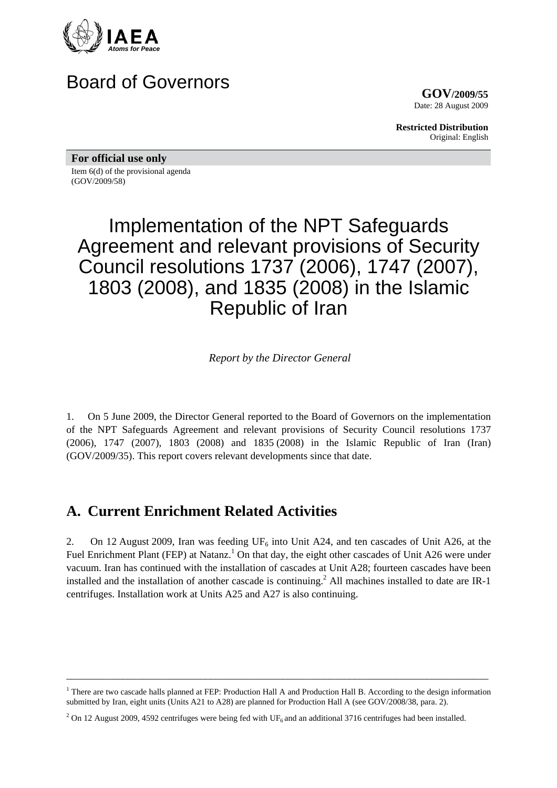

## Board of Governors

**GOV/2009/55** Date: 28 August 2009

**Restricted Distribution** Original: English

**For official use only** 

Item 6(d) of the provisional agenda (GOV/2009/58)

# Implementation of the NPT Safeguards Agreement and relevant provisions of Security Council resolutions 1737 (2006), 1747 (2007), 1803 (2008), and 1835 (2008) in the Islamic Republic of Iran

*Report by the Director General* 

1. On 5 June 2009, the Director General reported to the Board of Governors on the implementation of the NPT Safeguards Agreement and relevant provisions of Security Council resolutions 1737 (2006), 1747 (2007), 1803 (2008) and 1835 (2008) in the Islamic Republic of Iran (Iran) (GOV/2009/35). This report covers relevant developments since that date.

### **A. Current Enrichment Related Activities**

2. On 12 August 2009, Iran was feeding  $UF_6$  into Unit A24, and ten cascades of Unit A26, at the Fuel Enrichment Plant (FEP) at Natanz.<sup>1</sup> On that day, the eight other cascades of Unit A26 were under vacuum. Iran has continued with the installation of cascades at Unit A28; fourteen cascades have been installed and the installation of another cascade is continuing.<sup>2</sup> All machines installed to date are IR-1 centrifuges. Installation work at Units A25 and A27 is also continuing.

\_\_\_\_\_\_\_\_\_\_\_\_\_\_\_\_\_\_\_\_\_\_\_\_\_\_\_\_\_\_\_\_\_\_\_\_\_\_\_\_\_\_\_\_\_\_\_\_\_\_\_\_\_\_\_\_\_\_\_\_\_\_\_\_\_\_\_\_\_\_\_\_\_\_\_\_\_\_\_\_\_\_

<sup>&</sup>lt;sup>1</sup> There are two cascade halls planned at FEP: Production Hall A and Production Hall B. According to the design information submitted by Iran, eight units (Units A21 to A28) are planned for Production Hall A (see GOV/2008/38, para. 2).

<sup>&</sup>lt;sup>2</sup> On 12 August 2009, 4592 centrifuges were being fed with UF<sub>6</sub> and an additional 3716 centrifuges had been installed.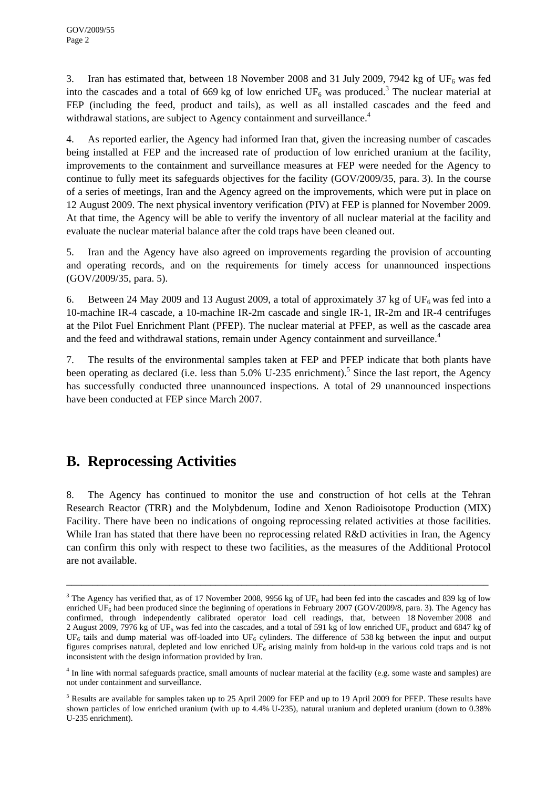3. Iran has estimated that, between 18 November 2008 and 31 July 2009, 7942 kg of UF<sub>6</sub> was fed into the cascades and a total of 669 kg of low enriched  $UF_6$  was produced.<sup>3</sup> The nuclear material at FEP (including the feed, product and tails), as well as all installed cascades and the feed and withdrawal stations, are subject to Agency containment and surveillance.<sup>4</sup>

4. As reported earlier, the Agency had informed Iran that, given the increasing number of cascades being installed at FEP and the increased rate of production of low enriched uranium at the facility, improvements to the containment and surveillance measures at FEP were needed for the Agency to continue to fully meet its safeguards objectives for the facility (GOV/2009/35, para. 3). In the course of a series of meetings, Iran and the Agency agreed on the improvements, which were put in place on 12 August 2009. The next physical inventory verification (PIV) at FEP is planned for November 2009. At that time, the Agency will be able to verify the inventory of all nuclear material at the facility and evaluate the nuclear material balance after the cold traps have been cleaned out.

5. Iran and the Agency have also agreed on improvements regarding the provision of accounting and operating records, and on the requirements for timely access for unannounced inspections (GOV/2009/35, para. 5).

6. Between 24 May 2009 and 13 August 2009, a total of approximately 37 kg of  $UF_6$  was fed into a 10-machine IR-4 cascade, a 10-machine IR-2m cascade and single IR-1, IR-2m and IR-4 centrifuges at the Pilot Fuel Enrichment Plant (PFEP). The nuclear material at PFEP, as well as the cascade area and the feed and withdrawal stations, remain under Agency containment and surveillance.<sup>4</sup>

7. The results of the environmental samples taken at FEP and PFEP indicate that both plants have been operating as declared (i.e. less than 5.0% U-235 enrichment).<sup>5</sup> Since the last report, the Agency has successfully conducted three unannounced inspections. A total of 29 unannounced inspections have been conducted at FEP since March 2007.

### **B. Reprocessing Activities**

8. The Agency has continued to monitor the use and construction of hot cells at the Tehran Research Reactor (TRR) and the Molybdenum, Iodine and Xenon Radioisotope Production (MIX) Facility. There have been no indications of ongoing reprocessing related activities at those facilities. While Iran has stated that there have been no reprocessing related R&D activities in Iran, the Agency can confirm this only with respect to these two facilities, as the measures of the Additional Protocol are not available.

\_\_\_\_\_\_\_\_\_\_\_\_\_\_\_\_\_\_\_\_\_\_\_\_\_\_\_\_\_\_\_\_\_\_\_\_\_\_\_\_\_\_\_\_\_\_\_\_\_\_\_\_\_\_\_\_\_\_\_\_\_\_\_\_\_\_\_\_\_\_\_\_\_\_\_\_\_\_\_\_\_\_

<sup>&</sup>lt;sup>3</sup> The Agency has verified that, as of 17 November 2008, 9956 kg of UF<sub>6</sub> had been fed into the cascades and 839 kg of low enriched UF<sub>6</sub> had been produced since the beginning of operations in February 2007 (GOV/2009/8, para. 3). The Agency has confirmed, through independently calibrated operator load cell readings, that, between 18 November 2008 and 2 August 2009, 7976 kg of UF<sub>6</sub> was fed into the cascades, and a total of 591 kg of low enriched UF<sub>6</sub> product and 6847 kg of UF<sub>6</sub> tails and dump material was off-loaded into UF<sub>6</sub> cylinders. The difference of 538 kg between the input and output figures comprises natural, depleted and low enriched  $UF_6$  arising mainly from hold-up in the various cold traps and is not inconsistent with the design information provided by Iran.

<sup>&</sup>lt;sup>4</sup> In line with normal safeguards practice, small amounts of nuclear material at the facility (e.g. some waste and samples) are not under containment and surveillance.

<sup>&</sup>lt;sup>5</sup> Results are available for samples taken up to 25 April 2009 for FEP and up to 19 April 2009 for PFEP. These results have shown particles of low enriched uranium (with up to 4.4% U-235), natural uranium and depleted uranium (down to 0.38% U-235 enrichment).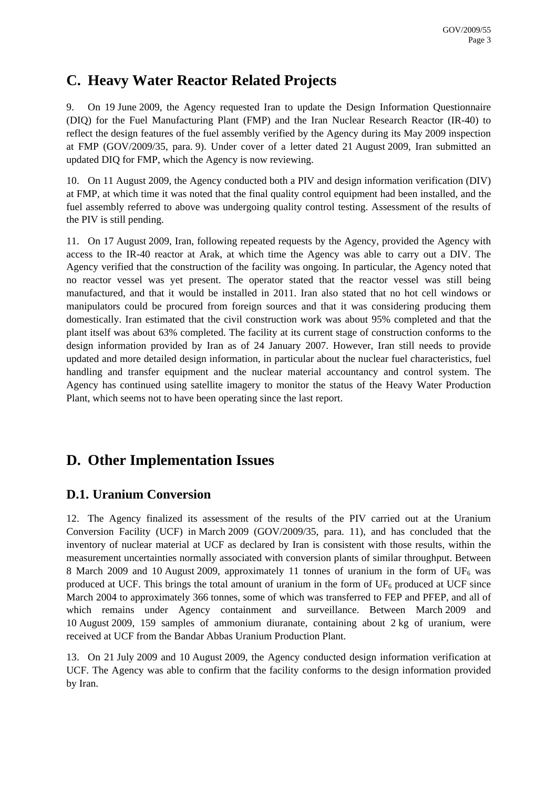### **C. Heavy Water Reactor Related Projects**

9. On 19 June 2009, the Agency requested Iran to update the Design Information Questionnaire (DIQ) for the Fuel Manufacturing Plant (FMP) and the Iran Nuclear Research Reactor (IR-40) to reflect the design features of the fuel assembly verified by the Agency during its May 2009 inspection at FMP (GOV/2009/35, para. 9). Under cover of a letter dated 21 August 2009, Iran submitted an updated DIQ for FMP, which the Agency is now reviewing.

10. On 11 August 2009, the Agency conducted both a PIV and design information verification (DIV) at FMP, at which time it was noted that the final quality control equipment had been installed, and the fuel assembly referred to above was undergoing quality control testing. Assessment of the results of the PIV is still pending.

11. On 17 August 2009, Iran, following repeated requests by the Agency, provided the Agency with access to the IR-40 reactor at Arak, at which time the Agency was able to carry out a DIV. The Agency verified that the construction of the facility was ongoing. In particular, the Agency noted that no reactor vessel was yet present. The operator stated that the reactor vessel was still being manufactured, and that it would be installed in 2011. Iran also stated that no hot cell windows or manipulators could be procured from foreign sources and that it was considering producing them domestically. Iran estimated that the civil construction work was about 95% completed and that the plant itself was about 63% completed. The facility at its current stage of construction conforms to the design information provided by Iran as of 24 January 2007. However, Iran still needs to provide updated and more detailed design information, in particular about the nuclear fuel characteristics, fuel handling and transfer equipment and the nuclear material accountancy and control system. The Agency has continued using satellite imagery to monitor the status of the Heavy Water Production Plant, which seems not to have been operating since the last report.

### **D. Other Implementation Issues**

#### **D.1. Uranium Conversion**

12. The Agency finalized its assessment of the results of the PIV carried out at the Uranium Conversion Facility (UCF) in March 2009 (GOV/2009/35, para. 11), and has concluded that the inventory of nuclear material at UCF as declared by Iran is consistent with those results, within the measurement uncertainties normally associated with conversion plants of similar throughput. Between 8 March 2009 and 10 August 2009, approximately 11 tonnes of uranium in the form of UF<sub>6</sub> was produced at UCF. This brings the total amount of uranium in the form of  $UF_6$  produced at UCF since March 2004 to approximately 366 tonnes, some of which was transferred to FEP and PFEP, and all of which remains under Agency containment and surveillance. Between March 2009 and 10 August 2009, 159 samples of ammonium diuranate, containing about 2 kg of uranium, were received at UCF from the Bandar Abbas Uranium Production Plant.

13. On 21 July 2009 and 10 August 2009, the Agency conducted design information verification at UCF. The Agency was able to confirm that the facility conforms to the design information provided by Iran.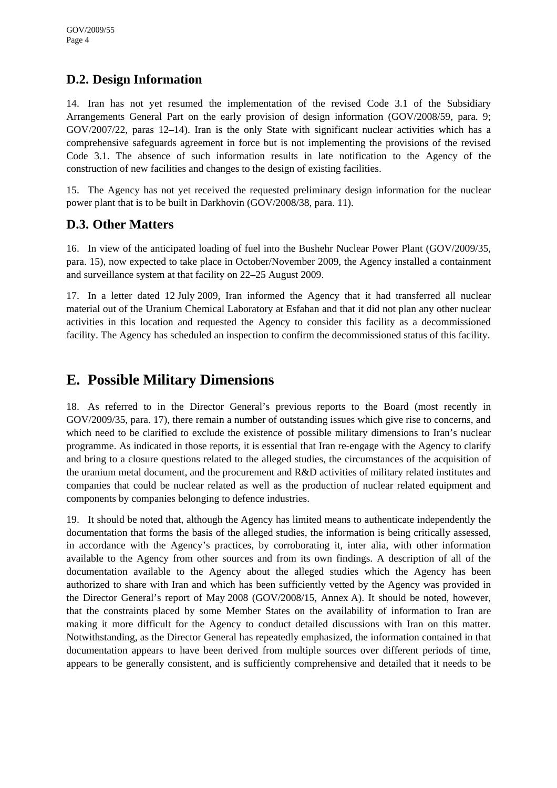#### **D.2. Design Information**

14. Iran has not yet resumed the implementation of the revised Code 3.1 of the Subsidiary Arrangements General Part on the early provision of design information (GOV/2008/59, para. 9; GOV/2007/22, paras 12–14). Iran is the only State with significant nuclear activities which has a comprehensive safeguards agreement in force but is not implementing the provisions of the revised Code 3.1. The absence of such information results in late notification to the Agency of the construction of new facilities and changes to the design of existing facilities.

15. The Agency has not yet received the requested preliminary design information for the nuclear power plant that is to be built in Darkhovin (GOV/2008/38, para. 11).

#### **D.3. Other Matters**

16. In view of the anticipated loading of fuel into the Bushehr Nuclear Power Plant (GOV/2009/35, para. 15), now expected to take place in October/November 2009, the Agency installed a containment and surveillance system at that facility on 22–25 August 2009.

17. In a letter dated 12 July 2009, Iran informed the Agency that it had transferred all nuclear material out of the Uranium Chemical Laboratory at Esfahan and that it did not plan any other nuclear activities in this location and requested the Agency to consider this facility as a decommissioned facility. The Agency has scheduled an inspection to confirm the decommissioned status of this facility.

### **E. Possible Military Dimensions**

18. As referred to in the Director General's previous reports to the Board (most recently in GOV/2009/35, para. 17), there remain a number of outstanding issues which give rise to concerns, and which need to be clarified to exclude the existence of possible military dimensions to Iran's nuclear programme. As indicated in those reports, it is essential that Iran re-engage with the Agency to clarify and bring to a closure questions related to the alleged studies, the circumstances of the acquisition of the uranium metal document, and the procurement and R&D activities of military related institutes and companies that could be nuclear related as well as the production of nuclear related equipment and components by companies belonging to defence industries.

19. It should be noted that, although the Agency has limited means to authenticate independently the documentation that forms the basis of the alleged studies, the information is being critically assessed, in accordance with the Agency's practices, by corroborating it, inter alia, with other information available to the Agency from other sources and from its own findings. A description of all of the documentation available to the Agency about the alleged studies which the Agency has been authorized to share with Iran and which has been sufficiently vetted by the Agency was provided in the Director General's report of May 2008 (GOV/2008/15, Annex A). It should be noted, however, that the constraints placed by some Member States on the availability of information to Iran are making it more difficult for the Agency to conduct detailed discussions with Iran on this matter. Notwithstanding, as the Director General has repeatedly emphasized, the information contained in that documentation appears to have been derived from multiple sources over different periods of time, appears to be generally consistent, and is sufficiently comprehensive and detailed that it needs to be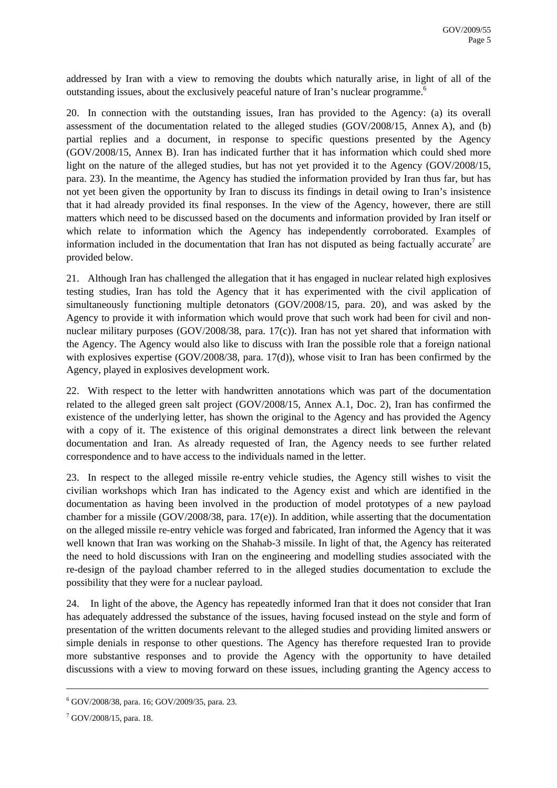addressed by Iran with a view to removing the doubts which naturally arise, in light of all of the outstanding issues, about the exclusively peaceful nature of Iran's nuclear programme.<sup>6</sup>

20. In connection with the outstanding issues, Iran has provided to the Agency: (a) its overall assessment of the documentation related to the alleged studies (GOV/2008/15, Annex A), and (b) partial replies and a document, in response to specific questions presented by the Agency (GOV/2008/15, Annex B). Iran has indicated further that it has information which could shed more light on the nature of the alleged studies, but has not yet provided it to the Agency (GOV/2008/15, para. 23). In the meantime, the Agency has studied the information provided by Iran thus far, but has not yet been given the opportunity by Iran to discuss its findings in detail owing to Iran's insistence that it had already provided its final responses. In the view of the Agency, however, there are still matters which need to be discussed based on the documents and information provided by Iran itself or which relate to information which the Agency has independently corroborated. Examples of information included in the documentation that Iran has not disputed as being factually accurate<sup>7</sup> are provided below.

21. Although Iran has challenged the allegation that it has engaged in nuclear related high explosives testing studies, Iran has told the Agency that it has experimented with the civil application of simultaneously functioning multiple detonators (GOV/2008/15, para. 20), and was asked by the Agency to provide it with information which would prove that such work had been for civil and nonnuclear military purposes (GOV/2008/38, para. 17(c)). Iran has not yet shared that information with the Agency. The Agency would also like to discuss with Iran the possible role that a foreign national with explosives expertise (GOV/2008/38, para. 17(d)), whose visit to Iran has been confirmed by the Agency, played in explosives development work.

22. With respect to the letter with handwritten annotations which was part of the documentation related to the alleged green salt project (GOV/2008/15, Annex A.1, Doc. 2), Iran has confirmed the existence of the underlying letter, has shown the original to the Agency and has provided the Agency with a copy of it. The existence of this original demonstrates a direct link between the relevant documentation and Iran. As already requested of Iran, the Agency needs to see further related correspondence and to have access to the individuals named in the letter.

23. In respect to the alleged missile re-entry vehicle studies, the Agency still wishes to visit the civilian workshops which Iran has indicated to the Agency exist and which are identified in the documentation as having been involved in the production of model prototypes of a new payload chamber for a missile (GOV/2008/38, para. 17(e)). In addition, while asserting that the documentation on the alleged missile re-entry vehicle was forged and fabricated, Iran informed the Agency that it was well known that Iran was working on the Shahab-3 missile. In light of that, the Agency has reiterated the need to hold discussions with Iran on the engineering and modelling studies associated with the re-design of the payload chamber referred to in the alleged studies documentation to exclude the possibility that they were for a nuclear payload.

24. In light of the above, the Agency has repeatedly informed Iran that it does not consider that Iran has adequately addressed the substance of the issues, having focused instead on the style and form of presentation of the written documents relevant to the alleged studies and providing limited answers or simple denials in response to other questions. The Agency has therefore requested Iran to provide more substantive responses and to provide the Agency with the opportunity to have detailed discussions with a view to moving forward on these issues, including granting the Agency access to

\_\_\_\_\_\_\_\_\_\_\_\_\_\_\_\_\_\_\_\_\_\_\_\_\_\_\_\_\_\_\_\_\_\_\_\_\_\_\_\_\_\_\_\_\_\_\_\_\_\_\_\_\_\_\_\_\_\_\_\_\_\_\_\_\_\_\_\_\_\_\_\_\_\_\_\_\_\_\_\_\_\_

<sup>6</sup> GOV/2008/38, para. 16; GOV/2009/35, para. 23.

 $7$  GOV/2008/15, para. 18.